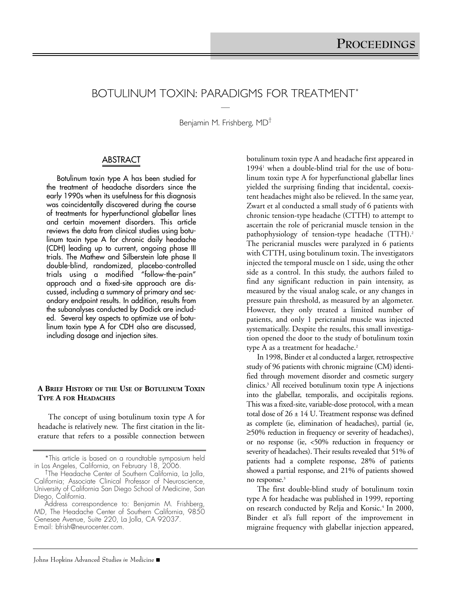# BOTULINUM TOXIN: PARADIGMS FOR TREATMENT\* —

Benjamin M. Frishberg, MD†

# ABSTRACT

Botulinum toxin type A has been studied for the treatment of headache disorders since the early 1990s when its usefulness for this diagnosis was coincidentally discovered during the course of treatments for hyperfunctional glabellar lines and certain movement disorders. This article reviews the data from clinical studies using botulinum toxin type A for chronic daily headache (CDH) leading up to current, ongoing phase III trials. The Mathew and Silberstein late phase II double-blind, randomized, placebo-controlled trials using a modified "follow-the-pain" approach and a fixed-site approach are discussed, including a summary of primary and secondary endpoint results. In addition, results from the subanalyses conducted by Dodick are included. Several key aspects to optimize use of botulinum toxin type A for CDH also are discussed, including dosage and injection sites.

#### **A BRIEF HISTORY OF THE USE OF BOTULINUM TOXIN TYPE A FOR HEADACHES**

The concept of using botulinum toxin type A for headache is relatively new. The first citation in the literature that refers to a possible connection between botulinum toxin type A and headache first appeared in  $1994<sup>1</sup>$  when a double-blind trial for the use of botulinum toxin type A for hyperfunctional glabellar lines yielded the surprising finding that incidental, coexistent headaches might also be relieved. In the same year, Zwart et al conducted a small study of 6 patients with chronic tension-type headache (CTTH) to attempt to ascertain the role of pericranial muscle tension in the pathophysiology of tension-type headache (TTH).<sup>2</sup> The pericranial muscles were paralyzed in 6 patients with CTTH, using botulinum toxin. The investigators injected the temporal muscle on 1 side, using the other side as a control. In this study, the authors failed to find any significant reduction in pain intensity, as measured by the visual analog scale, or any changes in pressure pain threshold, as measured by an algometer. However, they only treated a limited number of patients, and only 1 pericranial muscle was injected systematically. Despite the results, this small investigation opened the door to the study of botulinum toxin type A as a treatment for headache.<sup>2</sup>

In 1998, Binder et al conducted a larger, retrospective study of 96 patients with chronic migraine (CM) identified through movement disorder and cosmetic surgery clinics.3 All received botulinum toxin type A injections into the glabellar, temporalis, and occipitalis regions. This was a fixed-site, variable-dose protocol, with a mean total dose of 26 ± 14 U. Treatment response was defined as complete (ie, elimination of headaches), partial (ie, ≥50% reduction in frequency or severity of headaches), or no response (ie, <50% reduction in frequency or severity of headaches). Their results revealed that 51% of patients had a complete response, 28% of patients showed a partial response, and 21% of patients showed no response.<sup>3</sup>

The first double-blind study of botulinum toxin type A for headache was published in 1999, reporting on research conducted by Relja and Korsic.4 In 2000, Binder et al's full report of the improvement in migraine frequency with glabellar injection appeared,

<sup>\*</sup>This article is based on a roundtable symposium held

<sup>&</sup>lt;sup>†</sup>The Headache Center of Southern California, La Jolla, California; Associate Clinical Professor of Neuroscience, University of California San Diego School of Medicine, San Diego, California.

Address correspondence to: Benjamin M. Frishberg, MD, The Headache Center of Southern California, 9850 Genesee Avenue, Suite 220, La Jolla, CA 92037. E-mail: bfrish@neurocenter.com.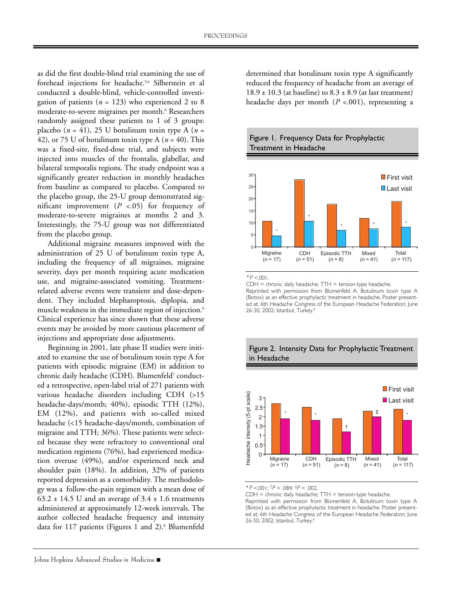as did the first double-blind trial examining the use of forehead injections for headache.5,6 Silberstein et al conducted a double-blind, vehicle-controlled investigation of patients ( $n = 123$ ) who experienced 2 to 8 moderate-to-severe migraines per month.<sup>6</sup> Researchers randomly assigned these patients to 1 of 3 groups: placebo ( $n = 41$ ), 25 U botulinum toxin type A ( $n =$ 42), or 75 U of botulinum toxin type A  $(n = 40)$ . This was a fixed-site, fixed-dose trial, and subjects were injected into muscles of the frontalis, glabellar, and bilateral temporalis regions. The study endpoint was a significantly greater reduction in monthly headaches from baseline as compared to placebo. Compared to the placebo group, the 25-U group demonstrated significant improvement (*P* <.05) for frequency of moderate-to-severe migraines at months 2 and 3. Interestingly, the 75-U group was not differentiated from the placebo group.

Additional migraine measures improved with the administration of 25 U of botulinum toxin type A, including the frequency of all migraines, migraine severity, days per month requiring acute medication use, and migraine-associated vomiting. Treatmentrelated adverse events were transient and dose-dependent. They included blepharoptosis, diplopia, and muscle weakness in the immediate region of injection.6 Clinical experience has since shown that these adverse events may be avoided by more cautious placement of injections and appropriate dose adjustments.

Beginning in 2001, late phase II studies were initiated to examine the use of botulinum toxin type A for patients with episodic migraine (EM) in addition to chronic daily headache (CDH). Blumenfeld7 conducted a retrospective, open-label trial of 271 patients with various headache disorders including CDH (>15 headache-days/month; 40%), episodic TTH (12%), EM (12%), and patients with so-called mixed headache (<15 headache-days/month, combination of migraine and TTH; 36%). These patients were selected because they were refractory to conventional oral medication regimens (76%), had experienced medication overuse (49%), and/or experienced neck and shoulder pain (18%). In addition, 32% of patients reported depression as a comorbidity. The methodology was a follow-the-pain regimen with a mean dose of 63.2  $\pm$  14.5 U and an average of 3.4  $\pm$  1.6 treatments administered at approximately 12-week intervals. The author collected headache frequency and intensity data for 117 patients (Figures 1 and 2).<sup>8</sup> Blumenfeld

determined that botulinum toxin type A significantly reduced the frequency of headache from an average of  $18.9 \pm 10.3$  (at baseline) to  $8.3 \pm 8.9$  (at last treatment) headache days per month (*P* <.001), representing a





 $*P < 001$ .

 $CDH =$  chronic daily headache;  $TTH =$  tension-type headache.

Reprinted with permission from Blumenfeld A. Botulinum toxin type A (Botox) as an effective prophylactic treatment in headache. Poster presented at: 6th Headache Congress of the European Headache Federation; June 26-30, 2002; Istanbul, Turkey.<sup>8</sup>



# Figure 2. Intensity Data for Prophylactic Treatment in Headache

\* P <.001;  $\dagger P = .084$ ;  $\dagger P = .002$ .

CDH = chronic daily headache; TTH = tension-type headache. Reprinted with permission from Blumenfeld A. Botulinum toxin type A (Botox) as an effective prophylactic treatment in headache. Poster presented at: 6th Headache Congress of the European Headache Federation; June 26-30, 2002; Istanbul, Turkey.<sup>8</sup>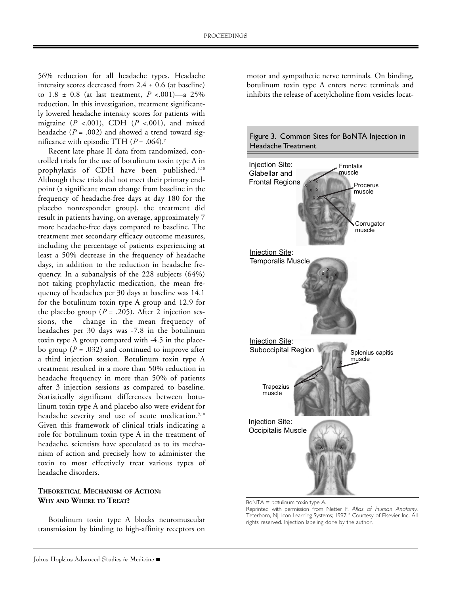56% reduction for all headache types. Headache intensity scores decreased from  $2.4 \pm 0.6$  (at baseline) to 1.8 ± 0.8 (at last treatment, *P* <.001)—a 25% reduction. In this investigation, treatment significantly lowered headache intensity scores for patients with migraine (*P* <.001), CDH (*P* <.001), and mixed headache ( $P = .002$ ) and showed a trend toward significance with episodic TTH  $(P = .064)$ .<sup>7</sup>

Recent late phase II data from randomized, controlled trials for the use of botulinum toxin type A in prophylaxis of CDH have been published.<sup>9,10</sup> Although these trials did not meet their primary endpoint (a significant mean change from baseline in the frequency of headache-free days at day 180 for the placebo nonresponder group), the treatment did result in patients having, on average, approximately 7 more headache-free days compared to baseline. The treatment met secondary efficacy outcome measures, including the percentage of patients experiencing at least a 50% decrease in the frequency of headache days, in addition to the reduction in headache frequency. In a subanalysis of the 228 subjects (64%) not taking prophylactic medication, the mean frequency of headaches per 30 days at baseline was 14.1 for the botulinum toxin type A group and 12.9 for the placebo group ( $P = .205$ ). After 2 injection sessions, the change in the mean frequency of headaches per 30 days was -7.8 in the botulinum toxin type A group compared with -4.5 in the placebo group ( $P = .032$ ) and continued to improve after a third injection session. Botulinum toxin type A treatment resulted in a more than 50% reduction in headache frequency in more than 50% of patients after 3 injection sessions as compared to baseline. Statistically significant differences between botulinum toxin type A and placebo also were evident for headache severity and use of acute medication.<sup>9,10</sup> Given this framework of clinical trials indicating a role for botulinum toxin type A in the treatment of headache, scientists have speculated as to its mechanism of action and precisely how to administer the toxin to most effectively treat various types of headache disorders.

### **THEORETICAL MECHANISM OF ACTION: WHY AND WHERE TO TREAT?**

Botulinum toxin type A blocks neuromuscular transmission by binding to high-affinity receptors on motor and sympathetic nerve terminals. On binding, botulinum toxin type A enters nerve terminals and inhibits the release of acetylcholine from vesicles locat-



BoNTA = botulinum toxin type A.

Reprinted with permission from Netter F. Atlas of Human Anatomy. Teterboro, NJ: Icon Learning Systems; 1997.<sup>12</sup> Courtesy of Elsevier Inc. All rights reserved. Injection labeling done by the author.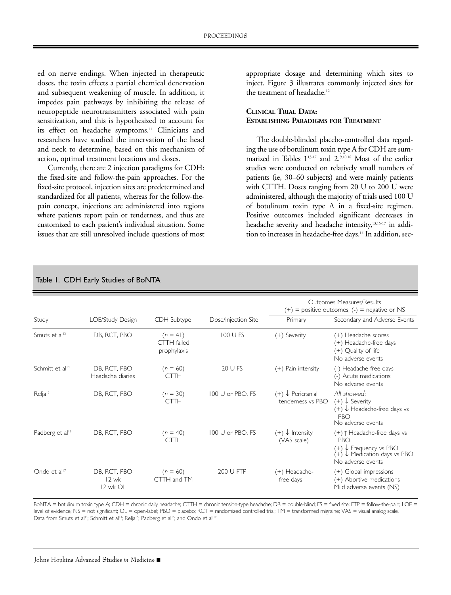ed on nerve endings. When injected in therapeutic doses, the toxin effects a partial chemical denervation and subsequent weakening of muscle. In addition, it impedes pain pathways by inhibiting the release of neuropeptide neurotransmitters associated with pain sensitization, and this is hypothesized to account for its effect on headache symptoms.<sup>11</sup> Clinicians and researchers have studied the innervation of the head and neck to determine, based on this mechanism of action, optimal treatment locations and doses.

Currently, there are 2 injection paradigms for CDH: the fixed-site and follow-the-pain approaches. For the fixed-site protocol, injection sites are predetermined and standardized for all patients, whereas for the follow-thepain concept, injections are administered into regions where patients report pain or tenderness, and thus are customized to each patient's individual situation. Some issues that are still unresolved include questions of most appropriate dosage and determining which sites to inject. Figure 3 illustrates commonly injected sites for the treatment of headache.<sup>12</sup>

# **CLINICAL TRIAL DATA: ESTABLISHING PARADIGMS FOR TREATMENT**

The double-blinded placebo-controlled data regarding the use of botulinum toxin type A for CDH are summarized in Tables 113-17 and 2.9,10,18 Most of the earlier studies were conducted on relatively small numbers of patients (ie, 30–60 subjects) and were mainly patients with CTTH. Doses ranging from 20 U to 200 U were administered, although the majority of trials used 100 U of botulinum toxin type A in a fixed-site regimen. Positive outcomes included significant decreases in headache severity and headache intensity,<sup>13,15-17</sup> in addition to increases in headache-free days.<sup>14</sup> In addition, sec-

| Study                       | LOE/Study Design                    | CDH Subtype                                     | Dose/Injection Site | Outcomes Measures/Results<br>$(+)$ = positive outcomes; (-) = negative or NS<br>Primary<br>Secondary and Adverse Events |                                                                                                                       |  |  |  |
|-----------------------------|-------------------------------------|-------------------------------------------------|---------------------|-------------------------------------------------------------------------------------------------------------------------|-----------------------------------------------------------------------------------------------------------------------|--|--|--|
| Smuts et al <sup>13</sup>   | DB, RCT, PBO                        | $(n = 41)$<br><b>CTTH</b> failed<br>prophylaxis | 100 U FS            | (+) Severity                                                                                                            | (+) Headache scores<br>(+) Headache-free days<br>(+) Quality of life<br>No adverse events                             |  |  |  |
| Schmitt et al <sup>14</sup> | DB, RCT, PBO<br>Headache diaries    | $(n = 60)$<br><b>CTTH</b>                       | 20 U FS             | (+) Pain intensity                                                                                                      | (-) Headache-free days<br>(-) Acute medications<br>No adverse events                                                  |  |  |  |
| Relja <sup>15</sup>         | DB, RCT, PBO                        | $(n = 30)$<br><b>CTTH</b>                       | 100 U or PBO, FS    | $(+)$ $\downarrow$ Pericranial<br>tenderness vs PBO                                                                     | All showed:<br>$(+)$ $\downarrow$ Severity<br>$(+)$ $\downarrow$ Headache-free days vs<br>PBO<br>No adverse events    |  |  |  |
| Padberg et al <sup>16</sup> | DB, RCT, PBO                        | $(n = 40)$<br>CTTH                              | 100 U or PBO, FS    | $(+) \downarrow$ Intensity<br>(VAS scale)                                                                               | (+) ↑ Headache-free days vs<br>PBO<br>↓ Frequency vs PBO<br>↓ Medication days vs PBO<br>$^{(+)}$<br>No adverse events |  |  |  |
| Ondo et al <sup>17</sup>    | DB, RCT, PBO<br>$12$ wk<br>12 wk OL | $(n = 60)$<br>CTTH and TM                       | 200 U FTP           | (+) Headache-<br>free days                                                                                              | (+) Global impressions<br>(+) Abortive medications<br>Mild adverse events (NS)                                        |  |  |  |

# Table 1. CDH Early Studies of BoNTA

BoNTA = botulinum toxin type A; CDH = chronic daily headache; CTTH = chronic tension-type headache; DB = double-blind; FS = fixed site; FTP = follow-the-pain; LOE = level of evidence; NS = not significant; OL = open-label; PBO = placebo; RCT = randomized controlled trial; TM = transformed migraine; VAS = visual analog scale. Data from Smuts et al<sup>13</sup>; Schmitt et al<sup>14</sup>; Relja<sup>15</sup>; Padberg et al<sup>16</sup>; and Ondo et al.<sup>17</sup>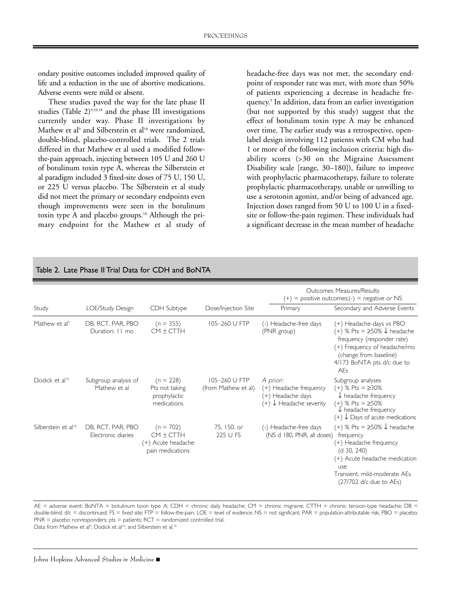ondary positive outcomes included improved quality of life and a reduction in the use of abortive medications. Adverse events were mild or absent.

These studies paved the way for the late phase II studies (Table 2)<sup>9,10,18</sup> and the phase III investigations currently under way. Phase II investigations by Mathew et al<sup>9</sup> and Silberstein et al<sup>18</sup> were randomized, double-blind, placebo-controlled trials. The 2 trials differed in that Mathew et al used a modified followthe-pain approach, injecting between 105 U and 260 U of botulinum toxin type A, whereas the Silberstein et al paradigm included 3 fixed-site doses of 75 U, 150 U, or 225 U versus placebo. The Silberstein et al study did not meet the primary or secondary endpoints even though improvements were seen in the botulinum toxin type A and placebo groups.<sup>18</sup> Although the primary endpoint for the Mathew et al study of headache-free days was not met, the secondary endpoint of responder rate was met, with more than 50% of patients experiencing a decrease in headache frequency.9 In addition, data from an earlier investigation (but not supported by this study) suggest that the effect of botulinum toxin type A may be enhanced over time. The earlier study was a retrospective, openlabel design involving 112 patients with CM who had 1 or more of the following inclusion criteria: high disability scores (>30 on the Migraine Assessment Disability scale [range, 30–180]), failure to improve with prophylactic pharmacotherapy, failure to tolerate prophylactic pharmacotherapy, unable or unwilling to use a serotonin agonist, and/or being of advanced age. Injection doses ranged from 50 U to 100 U in a fixedsite or follow-the-pain regimen. These individuals had a significant decrease in the mean number of headache

| $\mu$ and $\mu$ . Late i hase if if ial Data for CDTT and DOINTA |                                         |                                                                       |                                      |                                                                                                                           |                                                                                                                                                                                                                   |  |  |  |  |
|------------------------------------------------------------------|-----------------------------------------|-----------------------------------------------------------------------|--------------------------------------|---------------------------------------------------------------------------------------------------------------------------|-------------------------------------------------------------------------------------------------------------------------------------------------------------------------------------------------------------------|--|--|--|--|
| Study                                                            | LOE/Study Design                        | CDH Subtype                                                           | Dose/Injection Site                  | Outcomes Measures/Results<br>= positive outcomes;(-) = negative or NS<br>$(+)$<br>Secondary and Adverse Events<br>Primary |                                                                                                                                                                                                                   |  |  |  |  |
| Mathew et al <sup>9</sup>                                        | DB, RCT, PAR, PBO<br>Duration: 11 mo    | $(n = 355)$<br>$CM \pm CTH$                                           | 105-260 U FTP                        | (-) Headache-free days<br>(PNR group)                                                                                     | (+) Headache-days vs PBO<br>(+) % Pts = $\geq$ 50% $\downarrow$ headache<br>frequency (responder rate)<br>(+) Frequency of headache/mo<br>(change from baseline)<br>4/173 BoNTA pts d/c due to<br>AF <sub>S</sub> |  |  |  |  |
| Dodick et al <sup>10</sup>                                       | Subgroup analysis of<br>Mathew et al    | $(n = 228)$<br>Pts not taking<br>prophylactic<br>medications          | 105-260 U FTP<br>(from Mathew et al) | A priori:<br>(+) Headache frequency<br>(+) Headache days<br>$(+)$ $\downarrow$ Headache severity                          | Subgroup analyses<br>$(+)$ % Pts = $\geq$ 30%<br>$\downarrow$ headache frequency<br>$(+)$ % Pts = $\geq$ 50%<br>$\sqrt$ headache frequency<br>$(+)$ $\downarrow$ Days of acute medications                        |  |  |  |  |
| Silberstein et al <sup>18</sup>                                  | DB, RCT, PAR, PBO<br>Electronic diaries | $(n = 702)$<br>$CM \pm CTH$<br>(+) Acute headache<br>pain medications | 75, 150, or<br>225 U FS              | (-) Headache-free days<br>(NS d 180, PNR, all doses)                                                                      | (+) % Pts = $\geq$ 50% $\downarrow$ headache<br>frequency<br>(+) Headache frequency<br>(d 30, 240)<br>(+) Acute headache medication<br>use<br>Transient, mild-moderate AEs<br>(27/702 d/c due to AEs)             |  |  |  |  |

# Table 2. Late Phase II Trial Data for CDH and BoNTA

AE = adverse event; BoNTA = botulinum toxin type A; CDH = chronic daily headache; CM = chronic migraine; CTTH = chronic tension-type headache; DB = double-blind;  $d/c =$  discontinued; FS = fixed site; FTP = follow-the-pain; LOE = level of evidence; NS = not significant; PAR = population-attributable risk; PBO = placebo;  $PNR =$  placebo nonresponders; pts = patients;  $RCT =$  randomized controlled trial. Data from Mathew et al<sup>9</sup>; Dodick et al<sup>10</sup>; and Silberstein et al.<sup>18</sup>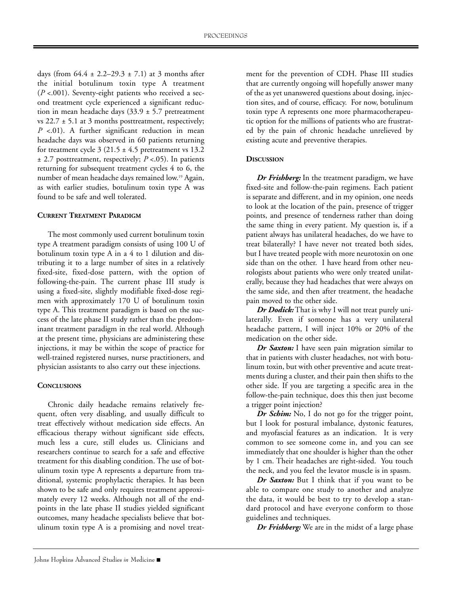days (from  $64.4 \pm 2.2 - 29.3 \pm 7.1$ ) at 3 months after the initial botulinum toxin type A treatment (*P* <.001). Seventy-eight patients who received a second treatment cycle experienced a significant reduction in mean headache days  $(33.9 \pm 5.7)$  pretreatment vs  $22.7 \pm 5.1$  at 3 months posttreatment, respectively; *P* <.01). A further significant reduction in mean headache days was observed in 60 patients returning for treatment cycle  $3(21.5 \pm 4.5)$  pretreatment vs 13.2 ± 2.7 posttreatment, respectively; *P* <.05). In patients returning for subsequent treatment cycles 4 to 6, the number of mean headache days remained low.19 Again, as with earlier studies, botulinum toxin type A was found to be safe and well tolerated.

### **CURRENT TREATMENT PARADIGM**

The most commonly used current botulinum toxin type A treatment paradigm consists of using 100 U of botulinum toxin type A in a 4 to 1 dilution and distributing it to a large number of sites in a relatively fixed-site, fixed-dose pattern, with the option of following-the-pain. The current phase III study is using a fixed-site, slightly modifiable fixed-dose regimen with approximately 170 U of botulinum toxin type A. This treatment paradigm is based on the success of the late phase II study rather than the predominant treatment paradigm in the real world. Although at the present time, physicians are administering these injections, it may be within the scope of practice for well-trained registered nurses, nurse practitioners, and physician assistants to also carry out these injections.

### **CONCLUSIONS**

Chronic daily headache remains relatively frequent, often very disabling, and usually difficult to treat effectively without medication side effects. An efficacious therapy without significant side effects, much less a cure, still eludes us. Clinicians and researchers continue to search for a safe and effective treatment for this disabling condition. The use of botulinum toxin type A represents a departure from traditional, systemic prophylactic therapies. It has been shown to be safe and only requires treatment approximately every 12 weeks. Although not all of the endpoints in the late phase II studies yielded significant outcomes, many headache specialists believe that botulinum toxin type A is a promising and novel treatment for the prevention of CDH. Phase III studies that are currently ongoing will hopefully answer many of the as yet unanswered questions about dosing, injection sites, and of course, efficacy. For now, botulinum toxin type A represents one more pharmacotherapeutic option for the millions of patients who are frustrated by the pain of chronic headache unrelieved by existing acute and preventive therapies.

### **DISCUSSION**

*Dr Frishberg:* In the treatment paradigm, we have fixed-site and follow-the-pain regimens. Each patient is separate and different, and in my opinion, one needs to look at the location of the pain, presence of trigger points, and presence of tenderness rather than doing the same thing in every patient. My question is, if a patient always has unilateral headaches, do we have to treat bilaterally? I have never not treated both sides, but I have treated people with more neurotoxin on one side than on the other. I have heard from other neurologists about patients who were only treated unilaterally, because they had headaches that were always on the same side, and then after treatment, the headache pain moved to the other side.

*Dr Dodick:* That is why I will not treat purely unilaterally. Even if someone has a very unilateral headache pattern, I will inject 10% or 20% of the medication on the other side.

*Dr Saxton:* I have seen pain migration similar to that in patients with cluster headaches, not with botulinum toxin, but with other preventive and acute treatments during a cluster, and their pain then shifts to the other side. If you are targeting a specific area in the follow-the-pain technique, does this then just become a trigger point injection?

*Dr Schim:* No, I do not go for the trigger point, but I look for postural imbalance, dystonic features, and myofascial features as an indication. It is very common to see someone come in, and you can see immediately that one shoulder is higher than the other by 1 cm. Their headaches are right-sided. You touch the neck, and you feel the levator muscle is in spasm.

*Dr Saxton:* But I think that if you want to be able to compare one study to another and analyze the data, it would be best to try to develop a standard protocol and have everyone conform to those guidelines and techniques.

*Dr Frishberg:* We are in the midst of a large phase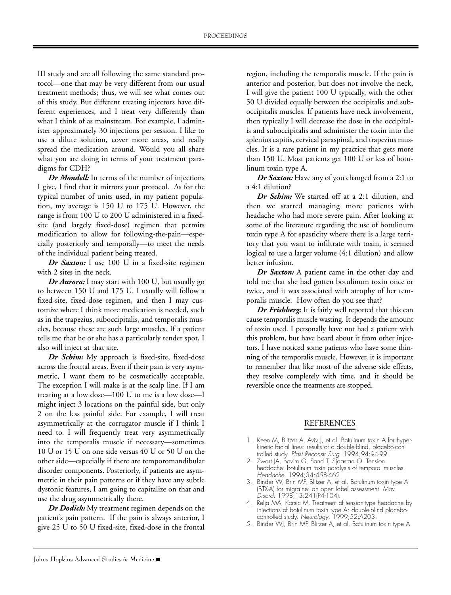III study and are all following the same standard protocol—one that may be very different from our usual treatment methods; thus, we will see what comes out of this study. But different treating injectors have different experiences, and I treat very differently than what I think of as mainstream. For example, I administer approximately 30 injections per session. I like to use a dilute solution, cover more areas, and really spread the medication around. Would you all share what you are doing in terms of your treatment paradigms for CDH?

*Dr Mondell:* In terms of the number of injections I give, I find that it mirrors your protocol. As for the typical number of units used, in my patient population, my average is 150 U to 175 U. However, the range is from 100 U to 200 U administered in a fixedsite (and largely fixed-dose) regimen that permits modification to allow for following-the-pain—especially posteriorly and temporally—to meet the needs of the individual patient being treated.

*Dr Saxton:* I use 100 U in a fixed-site regimen with 2 sites in the neck.

*Dr Aurora:* I may start with 100 U, but usually go to between 150 U and 175 U. I usually will follow a fixed-site, fixed-dose regimen, and then I may customize where I think more medication is needed, such as in the trapezius, suboccipitalis, and temporalis muscles, because these are such large muscles. If a patient tells me that he or she has a particularly tender spot, I also will inject at that site.

Dr Schim: My approach is fixed-site, fixed-dose across the frontal areas. Even if their pain is very asymmetric, I want them to be cosmetically acceptable. The exception I will make is at the scalp line. If I am treating at a low dose—100 U to me is a low dose—I might inject 3 locations on the painful side, but only 2 on the less painful side. For example, I will treat asymmetrically at the corrugator muscle if I think I need to. I will frequently treat very asymmetrically into the temporalis muscle if necessary—sometimes 10 U or 15 U on one side versus 40 U or 50 U on the other side—especially if there are temporomandibular disorder components. Posteriorly, if patients are asymmetric in their pain patterns or if they have any subtle dystonic features, I am going to capitalize on that and use the drug asymmetrically there.

*Dr Dodick:* My treatment regimen depends on the patient's pain pattern. If the pain is always anterior, I give 25 U to 50 U fixed-site, fixed-dose in the frontal

region, including the temporalis muscle. If the pain is anterior and posterior, but does not involve the neck, I will give the patient 100 U typically, with the other 50 U divided equally between the occipitalis and suboccipitalis muscles. If patients have neck involvement, then typically I will decrease the dose in the occipitalis and suboccipitalis and administer the toxin into the splenius capitis, cervical paraspinal, and trapezius muscles. It is a rare patient in my practice that gets more than 150 U. Most patients get 100 U or less of botulinum toxin type A.

*Dr Saxton:* Have any of you changed from a 2:1 to a 4:1 dilution?

*Dr Schim:* We started off at a 2:1 dilution, and then we started managing more patients with headache who had more severe pain. After looking at some of the literature regarding the use of botulinum toxin type A for spasticity where there is a large territory that you want to infiltrate with toxin, it seemed logical to use a larger volume (4:1 dilution) and allow better infusion.

*Dr Saxton:* A patient came in the other day and told me that she had gotten botulinum toxin once or twice, and it was associated with atrophy of her temporalis muscle. How often do you see that?

*Dr Frishberg:* It is fairly well reported that this can cause temporalis muscle wasting. It depends the amount of toxin used. I personally have not had a patient with this problem, but have heard about it from other injectors. I have noticed some patients who have some thinning of the temporalis muscle. However, it is important to remember that like most of the adverse side effects, they resolve completely with time, and it should be reversible once the treatments are stopped.

## REFERENCES

- 1. Keen M, Blitzer A, Aviv J, et al. Botulinum toxin A for hyperkinetic facial lines: results of a double-blind, placebo-controlled study. Plast Reconstr Surg. 1994;94:94-99.
- 2. Zwart JA, Bovim G, Sand T, Sjaastad O. Tension headache: botulinum toxin paralysis of temporal muscles. Headache. 1994;34:458-462.
- 3. Binder W, Brin MF, Blitzer A, et al. Botulinum toxin type A (BTX-A) for migraine: an open label assessment. Mov Disord. 1998;13:241(P4-104).
- 4. Relja MA, Korsic M. Treatment of tension-type headache by injections of botulinum toxin type A: double-blind placebocontrolled study. Neurology. 1999;52:A203.
- 5. Binder WJ, Brin MF, Blitzer A, et al. Botulinum toxin type A